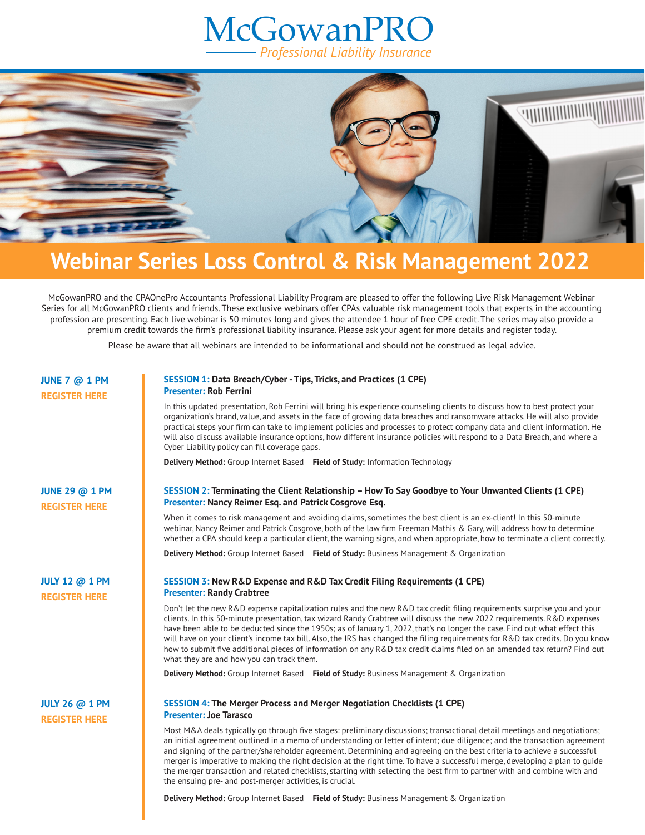## **McGowanPRO** *Professional Liability Insurance*



## **Webinar Series Loss Control & Risk Management 2022**

McGowanPRO and the CPAOnePro Accountants Professional Liability Program are pleased to offer the following Live Risk Management Webinar Series for all McGowanPRO clients and friends. These exclusive webinars offer CPAs valuable risk management tools that experts in the accounting profession are presenting. Each live webinar is 50 minutes long and gives the attendee 1 hour of free CPE credit. The series may also provide a premium credit towards the firm's professional liability insurance. Please ask your agent for more details and register today.

Please be aware that all webinars are intended to be informational and should not be construed as legal advice.

| <b>JUNE 7 @ 1 PM</b><br><b>REGISTER HERE</b>  | <b>SESSION 1: Data Breach/Cyber - Tips, Tricks, and Practices (1 CPE)</b><br><b>Presenter: Rob Ferrini</b>                                                                                                                                                                                                                                                                                                                                                                                                                                                                                                                                                                                                 |
|-----------------------------------------------|------------------------------------------------------------------------------------------------------------------------------------------------------------------------------------------------------------------------------------------------------------------------------------------------------------------------------------------------------------------------------------------------------------------------------------------------------------------------------------------------------------------------------------------------------------------------------------------------------------------------------------------------------------------------------------------------------------|
|                                               | In this updated presentation, Rob Ferrini will bring his experience counseling clients to discuss how to best protect your<br>organization's brand, value, and assets in the face of growing data breaches and ransomware attacks. He will also provide<br>practical steps your firm can take to implement policies and processes to protect company data and client information. He<br>will also discuss available insurance options, how different insurance policies will respond to a Data Breach, and where a<br>Cyber Liability policy can fill coverage gaps.                                                                                                                                       |
|                                               | Delivery Method: Group Internet Based Field of Study: Information Technology                                                                                                                                                                                                                                                                                                                                                                                                                                                                                                                                                                                                                               |
| <b>JUNE 29 @ 1 PM</b><br><b>REGISTER HERE</b> | SESSION 2: Terminating the Client Relationship - How To Say Goodbye to Your Unwanted Clients (1 CPE)<br>Presenter: Nancy Reimer Esq. and Patrick Cosgrove Esq.                                                                                                                                                                                                                                                                                                                                                                                                                                                                                                                                             |
|                                               | When it comes to risk management and avoiding claims, sometimes the best client is an ex-client! In this 50-minute<br>webinar, Nancy Reimer and Patrick Cosgrove, both of the law firm Freeman Mathis & Gary, will address how to determine<br>whether a CPA should keep a particular client, the warning signs, and when appropriate, how to terminate a client correctly.                                                                                                                                                                                                                                                                                                                                |
|                                               | <b>Delivery Method:</b> Group Internet Based Field of Study: Business Management & Organization                                                                                                                                                                                                                                                                                                                                                                                                                                                                                                                                                                                                            |
| <b>JULY 12 @ 1 PM</b><br><b>REGISTER HERE</b> | SESSION 3: New R&D Expense and R&D Tax Credit Filing Requirements (1 CPE)<br><b>Presenter: Randy Crabtree</b>                                                                                                                                                                                                                                                                                                                                                                                                                                                                                                                                                                                              |
|                                               | Don't let the new R&D expense capitalization rules and the new R&D tax credit filing requirements surprise you and your<br>clients. In this 50-minute presentation, tax wizard Randy Crabtree will discuss the new 2022 requirements. R&D expenses<br>have been able to be deducted since the 1950s; as of January 1, 2022, that's no longer the case. Find out what effect this<br>will have on your client's income tax bill. Also, the IRS has changed the filing requirements for R&D tax credits. Do you know<br>how to submit five additional pieces of information on any R&D tax credit claims filed on an amended tax return? Find out<br>what they are and how you can track them.               |
|                                               | <b>Delivery Method:</b> Group Internet Based Field of Study: Business Management & Organization                                                                                                                                                                                                                                                                                                                                                                                                                                                                                                                                                                                                            |
| <b>JULY 26 @ 1 PM</b><br><b>REGISTER HERE</b> | <b>SESSION 4: The Merger Process and Merger Negotiation Checklists (1 CPE)</b><br><b>Presenter: Joe Tarasco</b>                                                                                                                                                                                                                                                                                                                                                                                                                                                                                                                                                                                            |
|                                               | Most M&A deals typically go through five stages: preliminary discussions; transactional detail meetings and negotiations;<br>an initial agreement outlined in a memo of understanding or letter of intent; due diligence; and the transaction agreement<br>and signing of the partner/shareholder agreement. Determining and agreeing on the best criteria to achieve a successful<br>merger is imperative to making the right decision at the right time. To have a successful merge, developing a plan to guide<br>the merger transaction and related checklists, starting with selecting the best firm to partner with and combine with and<br>the ensuing pre- and post-merger activities, is crucial. |

**Delivery Method:** Group Internet Based **Field of Study:** Business Management & Organization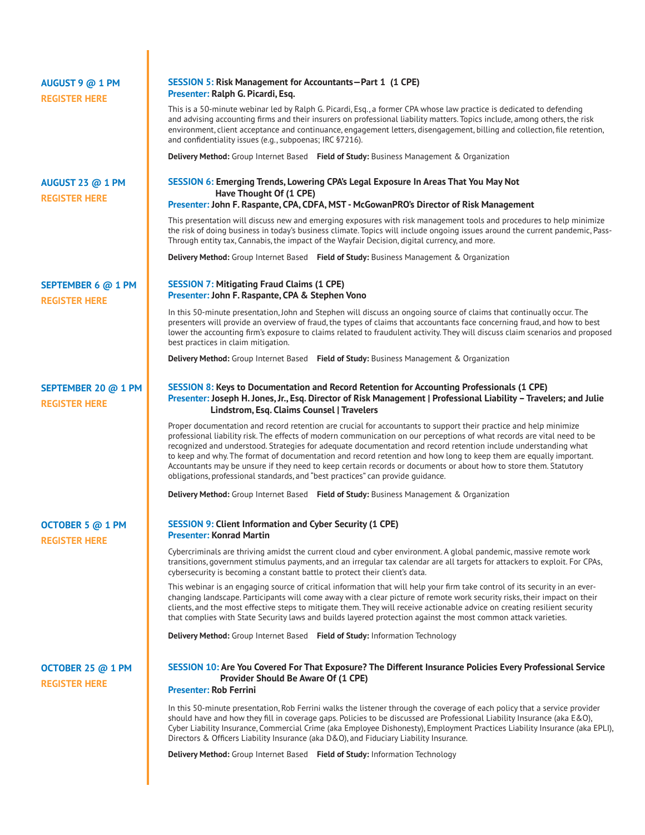| AUGUST 9 @ 1 PM<br><b>REGISTER HERE</b>         | SESSION 5: Risk Management for Accountants-Part 1 (1 CPE)<br>Presenter: Ralph G. Picardi, Esq.                                                                                                                                                                                                                                                                                                                                                                                                                                                                                                                                                                                                  |
|-------------------------------------------------|-------------------------------------------------------------------------------------------------------------------------------------------------------------------------------------------------------------------------------------------------------------------------------------------------------------------------------------------------------------------------------------------------------------------------------------------------------------------------------------------------------------------------------------------------------------------------------------------------------------------------------------------------------------------------------------------------|
|                                                 | This is a 50-minute webinar led by Ralph G. Picardi, Esq., a former CPA whose law practice is dedicated to defending<br>and advising accounting firms and their insurers on professional liability matters. Topics include, among others, the risk<br>environment, client acceptance and continuance, engagement letters, disengagement, billing and collection, file retention,<br>and confidentiality issues (e.g., subpoenas; IRC §7216).                                                                                                                                                                                                                                                    |
|                                                 | Delivery Method: Group Internet Based Field of Study: Business Management & Organization                                                                                                                                                                                                                                                                                                                                                                                                                                                                                                                                                                                                        |
| <b>AUGUST 23 @ 1 PM</b><br><b>REGISTER HERE</b> | SESSION 6: Emerging Trends, Lowering CPA's Legal Exposure In Areas That You May Not<br>Have Thought Of (1 CPE)                                                                                                                                                                                                                                                                                                                                                                                                                                                                                                                                                                                  |
|                                                 | Presenter: John F. Raspante, CPA, CDFA, MST - McGowanPRO's Director of Risk Management                                                                                                                                                                                                                                                                                                                                                                                                                                                                                                                                                                                                          |
|                                                 | This presentation will discuss new and emerging exposures with risk management tools and procedures to help minimize<br>the risk of doing business in today's business climate. Topics will include ongoing issues around the current pandemic, Pass-<br>Through entity tax, Cannabis, the impact of the Wayfair Decision, digital currency, and more.                                                                                                                                                                                                                                                                                                                                          |
|                                                 | Delivery Method: Group Internet Based Field of Study: Business Management & Organization                                                                                                                                                                                                                                                                                                                                                                                                                                                                                                                                                                                                        |
| SEPTEMBER 6 @ 1 PM<br><b>REGISTER HERE</b>      | <b>SESSION 7: Mitigating Fraud Claims (1 CPE)</b><br>Presenter: John F. Raspante, CPA & Stephen Vono                                                                                                                                                                                                                                                                                                                                                                                                                                                                                                                                                                                            |
|                                                 | In this 50-minute presentation, John and Stephen will discuss an ongoing source of claims that continually occur. The<br>presenters will provide an overview of fraud, the types of claims that accountants face concerning fraud, and how to best<br>lower the accounting firm's exposure to claims related to fraudulent activity. They will discuss claim scenarios and proposed<br>best practices in claim mitigation.                                                                                                                                                                                                                                                                      |
|                                                 | Delivery Method: Group Internet Based Field of Study: Business Management & Organization                                                                                                                                                                                                                                                                                                                                                                                                                                                                                                                                                                                                        |
| SEPTEMBER 20 @ 1 PM<br><b>REGISTER HERE</b>     | SESSION 8: Keys to Documentation and Record Retention for Accounting Professionals (1 CPE)<br>Presenter: Joseph H. Jones, Jr., Esq. Director of Risk Management   Professional Liability - Travelers; and Julie<br>Lindstrom, Esq. Claims Counsel   Travelers                                                                                                                                                                                                                                                                                                                                                                                                                                   |
|                                                 | Proper documentation and record retention are crucial for accountants to support their practice and help minimize<br>professional liability risk. The effects of modern communication on our perceptions of what records are vital need to be<br>recognized and understood. Strategies for adequate documentation and record retention include understanding what<br>to keep and why. The format of documentation and record retention and how long to keep them are equally important.<br>Accountants may be unsure if they need to keep certain records or documents or about how to store them. Statutory<br>obligations, professional standards, and "best practices" can provide quidance. |
|                                                 | Delivery Method: Group Internet Based Field of Study: Business Management & Organization                                                                                                                                                                                                                                                                                                                                                                                                                                                                                                                                                                                                        |
| OCTOBER 5 @ 1 PM<br><b>REGISTER HERE</b>        | <b>SESSION 9: Client Information and Cyber Security (1 CPE)</b><br><b>Presenter: Konrad Martin</b>                                                                                                                                                                                                                                                                                                                                                                                                                                                                                                                                                                                              |
|                                                 | Cybercriminals are thriving amidst the current cloud and cyber environment. A global pandemic, massive remote work<br>transitions, government stimulus payments, and an irregular tax calendar are all targets for attackers to exploit. For CPAs,<br>cybersecurity is becoming a constant battle to protect their client's data.                                                                                                                                                                                                                                                                                                                                                               |
|                                                 | This webinar is an engaging source of critical information that will help your firm take control of its security in an ever-<br>changing landscape. Participants will come away with a clear picture of remote work security risks, their impact on their<br>clients, and the most effective steps to mitigate them. They will receive actionable advice on creating resilient security<br>that complies with State Security laws and builds layered protection against the most common attack varieties.                                                                                                                                                                                       |
|                                                 | Delivery Method: Group Internet Based Field of Study: Information Technology                                                                                                                                                                                                                                                                                                                                                                                                                                                                                                                                                                                                                    |
| OCTOBER 25 @ 1 PM<br><b>REGISTER HERE</b>       | SESSION 10: Are You Covered For That Exposure? The Different Insurance Policies Every Professional Service<br>Provider Should Be Aware Of (1 CPE)<br><b>Presenter: Rob Ferrini</b>                                                                                                                                                                                                                                                                                                                                                                                                                                                                                                              |
|                                                 | In this 50-minute presentation, Rob Ferrini walks the listener through the coverage of each policy that a service provider<br>should have and how they fill in coverage gaps. Policies to be discussed are Professional Liability Insurance (aka E&O),<br>Cyber Liability Insurance, Commercial Crime (aka Employee Dishonesty), Employment Practices Liability Insurance (aka EPLI),<br>Directors & Officers Liability Insurance (aka D&O), and Fiduciary Liability Insurance.                                                                                                                                                                                                                 |
|                                                 | Delivery Method: Group Internet Based Field of Study: Information Technology                                                                                                                                                                                                                                                                                                                                                                                                                                                                                                                                                                                                                    |
|                                                 |                                                                                                                                                                                                                                                                                                                                                                                                                                                                                                                                                                                                                                                                                                 |